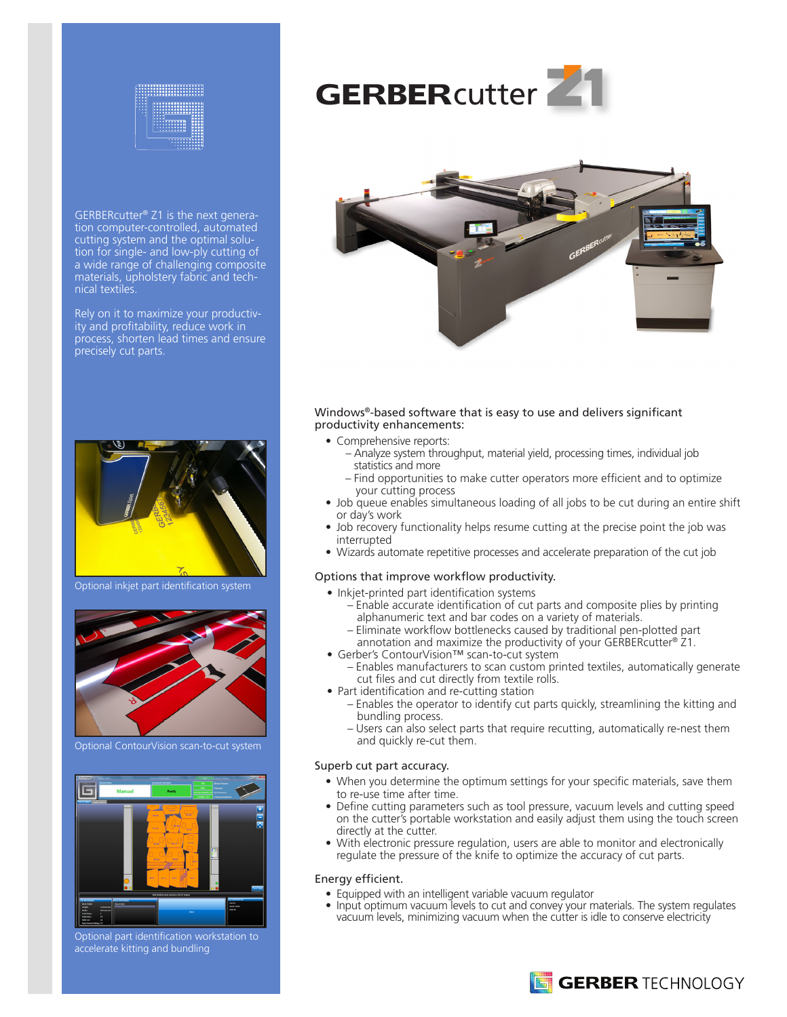

GERBERcutter® Z1 is the next generation computer-controlled, automated cutting system and the optimal solution for single- and low-ply cutting of a wide range of challenging composite materials, upholstery fabric and technical textiles.

Rely on it to maximize your productivity and profitability, reduce work in process, shorten lead times and ensure precisely cut parts.



Optional inkjet part identification system



Optional ContourVision scan-to-cut system



Optional part identification workstation to accelerate kitting and bundling





### Windows®-based software that is easy to use and delivers significant productivity enhancements:

- Comprehensive reports:
	- Analyze system throughput, material yield, processing times, individual job statistics and more
	- Find opportunities to make cutter operators more efficient and to optimize your cutting process
- Job queue enables simultaneous loading of all jobs to be cut during an entire shift or day's work
- Job recovery functionality helps resume cutting at the precise point the job was interrupted
- Wizards automate repetitive processes and accelerate preparation of the cut job

### Options that improve workflow productivity.

- Inkjet-printed part identification systems
	- Enable accurate identification of cut parts and composite plies by printing alphanumeric text and bar codes on a variety of materials.
	- Eliminate workflow bottlenecks caused by traditional pen-plotted part
- annotation and maximize the productivity of your GERBERcutter® Z1. • Gerber's ContourVision™ scan-to-cut system
	- Enables manufacturers to scan custom printed textiles, automatically generate cut files and cut directly from textile rolls.
- Part identification and re-cutting station
	- Enables the operator to identify cut parts quickly, streamlining the kitting and bundling process.
	- Users can also select parts that require recutting, automatically re-nest them and quickly re-cut them.

#### Superb cut part accuracy.

- When you determine the optimum settings for your specific materials, save them to re-use time after time.
- Define cutting parameters such as tool pressure, vacuum levels and cutting speed on the cutter's portable workstation and easily adjust them using the touch screen directly at the cutter.
- With electronic pressure regulation, users are able to monitor and electronically regulate the pressure of the knife to optimize the accuracy of cut parts.

### Energy efficient.

- Equipped with an intelligent variable vacuum regulator
- Input optimum vacuum levels to cut and convey your materials. The system regulates vacuum levels, minimizing vacuum when the cutter is idle to conserve electricity